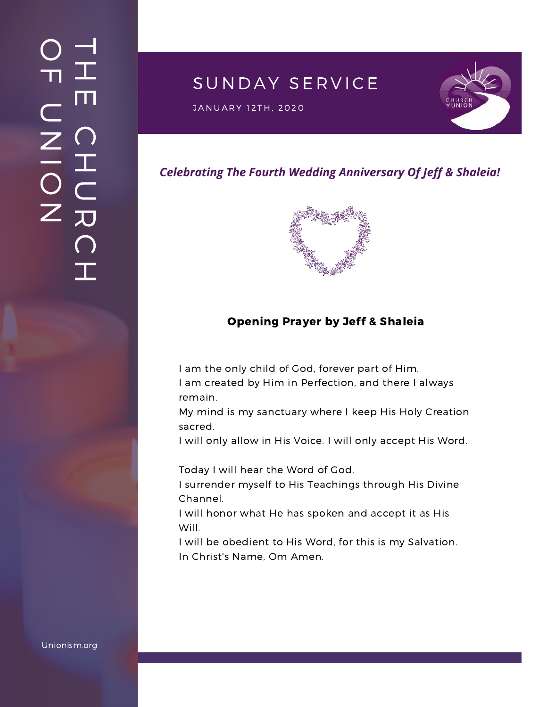# SUNDAY SERVICE

JANUARY 12TH, 2020<br>J



### *Celebrating The Fourth Wedding Anniversary Of Jeff & Shaleia!*



#### Opening Prayer by Jeff & Shaleia

I am the only child of God, forever part of Him. I am created by Him in Perfection, and there I always remain.

My mind is my sanctuary where I keep His Holy Creation sacred.

I will only allow in His Voice. I will only accept His Word.

Today I will hear the Word of God.

I surrender myself to His Teachings through His Divine Channel.

I will honor what He has spoken and accept it as His Will.

I will be obedient to His Word, for this is my Salvation. In Christ's Name, Om Amen.